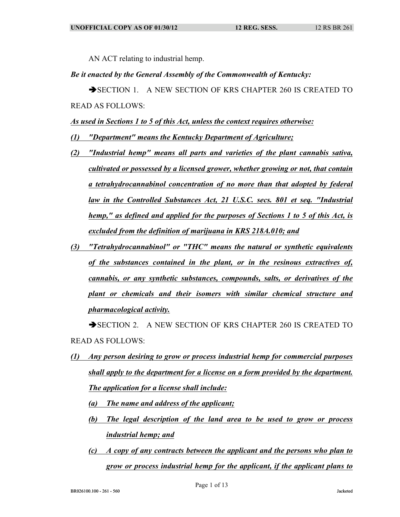AN ACT relating to industrial hemp.

## *Be it enacted by the General Assembly of the Commonwealth of Kentucky:*

SECTION 1. A NEW SECTION OF KRS CHAPTER 260 IS CREATED TO READ AS FOLLOWS:

*As used in Sections 1 to 5 of this Act, unless the context requires otherwise:*

- *(1) "Department" means the Kentucky Department of Agriculture;*
- *(2) "Industrial hemp" means all parts and varieties of the plant cannabis sativa, cultivated or possessed by a licensed grower, whether growing or not, that contain a tetrahydrocannabinol concentration of no more than that adopted by federal law in the Controlled Substances Act, 21 U.S.C. secs. 801 et seq. "Industrial hemp," as defined and applied for the purposes of Sections 1 to 5 of this Act, is excluded from the definition of marijuana in KRS 218A.010; and*
- *(3) "Tetrahydrocannabinol" or "THC" means the natural or synthetic equivalents of the substances contained in the plant, or in the resinous extractives of, cannabis, or any synthetic substances, compounds, salts, or derivatives of the plant or chemicals and their isomers with similar chemical structure and pharmacological activity.*

SECTION 2. A NEW SECTION OF KRS CHAPTER 260 IS CREATED TO READ AS FOLLOWS:

- *(1) Any person desiring to grow or process industrial hemp for commercial purposes shall apply to the department for a license on a form provided by the department. The application for a license shall include:*
	- *(a) The name and address of the applicant;*
	- *(b) The legal description of the land area to be used to grow or process industrial hemp; and*
	- *(c) A copy of any contracts between the applicant and the persons who plan to grow or process industrial hemp for the applicant, if the applicant plans to*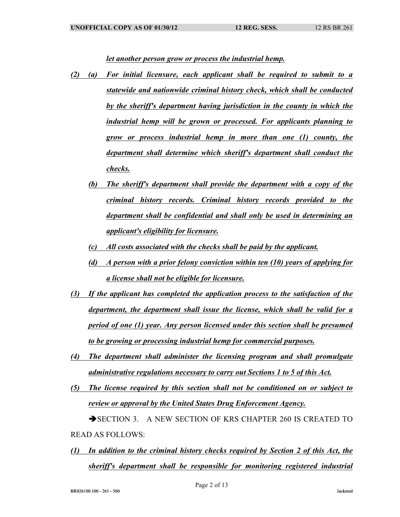*let another person grow or process the industrial hemp.*

- *(2) (a) For initial licensure, each applicant shall be required to submit to a statewide and nationwide criminal history check, which shall be conducted by the sheriff's department having jurisdiction in the county in which the industrial hemp will be grown or processed. For applicants planning to grow or process industrial hemp in more than one (1) county, the department shall determine which sheriff's department shall conduct the checks.*
	- *(b) The sheriff's department shall provide the department with a copy of the criminal history records. Criminal history records provided to the department shall be confidential and shall only be used in determining an applicant's eligibility for licensure.*
	- *(c) All costs associated with the checks shall be paid by the applicant.*
	- *(d) A person with a prior felony conviction within ten (10) years of applying for a license shall not be eligible for licensure.*
- *(3) If the applicant has completed the application process to the satisfaction of the department, the department shall issue the license, which shall be valid for a period of one (1) year. Any person licensed under this section shall be presumed to be growing or processing industrial hemp for commercial purposes.*
- *(4) The department shall administer the licensing program and shall promulgate administrative regulations necessary to carry out Sections 1 to 5 of this Act.*
- *(5) The license required by this section shall not be conditioned on or subject to review or approval by the United States Drug Enforcement Agency.*

SECTION 3. A NEW SECTION OF KRS CHAPTER 260 IS CREATED TO READ AS FOLLOWS:

*(1) In addition to the criminal history checks required by Section 2 of this Act, the sheriff's department shall be responsible for monitoring registered industrial*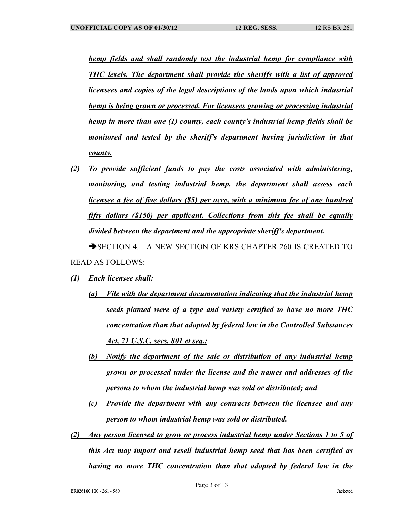*hemp fields and shall randomly test the industrial hemp for compliance with THC levels. The department shall provide the sheriffs with a list of approved licensees and copies of the legal descriptions of the lands upon which industrial hemp is being grown or processed. For licensees growing or processing industrial hemp in more than one (1) county, each county's industrial hemp fields shall be monitored and tested by the sheriff's department having jurisdiction in that county.*

*(2) To provide sufficient funds to pay the costs associated with administering, monitoring, and testing industrial hemp, the department shall assess each licensee a fee of five dollars (\$5) per acre, with a minimum fee of one hundred fifty dollars (\$150) per applicant. Collections from this fee shall be equally divided between the department and the appropriate sheriff's department.*

SECTION 4. A NEW SECTION OF KRS CHAPTER 260 IS CREATED TO READ AS FOLLOWS:

- *(1) Each licensee shall:*
	- *(a) File with the department documentation indicating that the industrial hemp seeds planted were of a type and variety certified to have no more THC concentration than that adopted by federal law in the Controlled Substances Act, 21 U.S.C. secs. 801 et seq.;*
	- *(b) Notify the department of the sale or distribution of any industrial hemp grown or processed under the license and the names and addresses of the persons to whom the industrial hemp was sold or distributed; and*
	- *(c) Provide the department with any contracts between the licensee and any person to whom industrial hemp was sold or distributed.*
- *(2) Any person licensed to grow or process industrial hemp under Sections 1 to 5 of this Act may import and resell industrial hemp seed that has been certified as having no more THC concentration than that adopted by federal law in the*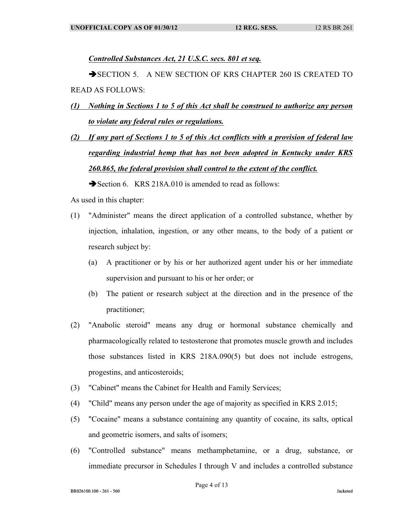*Controlled Substances Act, 21 U.S.C. secs. 801 et seq.*

SECTION 5. A NEW SECTION OF KRS CHAPTER 260 IS CREATED TO READ AS FOLLOWS:

- *(1) Nothing in Sections 1 to 5 of this Act shall be construed to authorize any person to violate any federal rules or regulations.*
- *(2) If any part of Sections 1 to 5 of this Act conflicts with a provision of federal law regarding industrial hemp that has not been adopted in Kentucky under KRS 260.865, the federal provision shall control to the extent of the conflict.*

Section 6. KRS 218A.010 is amended to read as follows:

As used in this chapter:

- (1) "Administer" means the direct application of a controlled substance, whether by injection, inhalation, ingestion, or any other means, to the body of a patient or research subject by:
	- (a) A practitioner or by his or her authorized agent under his or her immediate supervision and pursuant to his or her order; or
	- (b) The patient or research subject at the direction and in the presence of the practitioner;
- (2) "Anabolic steroid" means any drug or hormonal substance chemically and pharmacologically related to testosterone that promotes muscle growth and includes those substances listed in KRS 218A.090(5) but does not include estrogens, progestins, and anticosteroids;
- (3) "Cabinet" means the Cabinet for Health and Family Services;
- (4) "Child" means any person under the age of majority as specified in KRS 2.015;
- (5) "Cocaine" means a substance containing any quantity of cocaine, its salts, optical and geometric isomers, and salts of isomers;
- (6) "Controlled substance" means methamphetamine, or a drug, substance, or immediate precursor in Schedules I through V and includes a controlled substance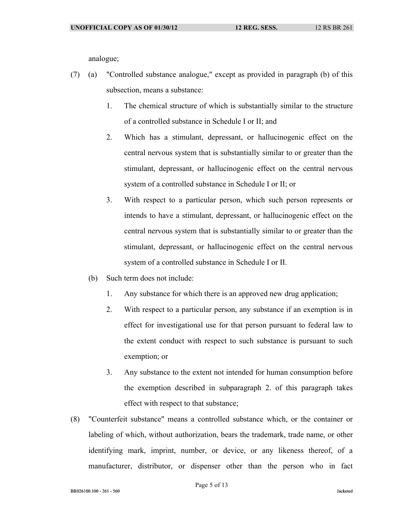analogue;

- (7) (a) "Controlled substance analogue," except as provided in paragraph (b) of this subsection, means a substance:
	- 1. The chemical structure of which is substantially similar to the structure of a controlled substance in Schedule I or II; and
	- 2. Which has a stimulant, depressant, or hallucinogenic effect on the central nervous system that is substantially similar to or greater than the stimulant, depressant, or hallucinogenic effect on the central nervous system of a controlled substance in Schedule I or II; or
	- 3. With respect to a particular person, which such person represents or intends to have a stimulant, depressant, or hallucinogenic effect on the central nervous system that is substantially similar to or greater than the stimulant, depressant, or hallucinogenic effect on the central nervous system of a controlled substance in Schedule I or II.
	- (b) Such term does not include:
		- 1. Any substance for which there is an approved new drug application;
		- 2. With respect to a particular person, any substance if an exemption is in effect for investigational use for that person pursuant to federal law to the extent conduct with respect to such substance is pursuant to such exemption; or
		- 3. Any substance to the extent not intended for human consumption before the exemption described in subparagraph 2. of this paragraph takes effect with respect to that substance;
- (8) "Counterfeit substance" means a controlled substance which, or the container or labeling of which, without authorization, bears the trademark, trade name, or other identifying mark, imprint, number, or device, or any likeness thereof, of a manufacturer, distributor, or dispenser other than the person who in fact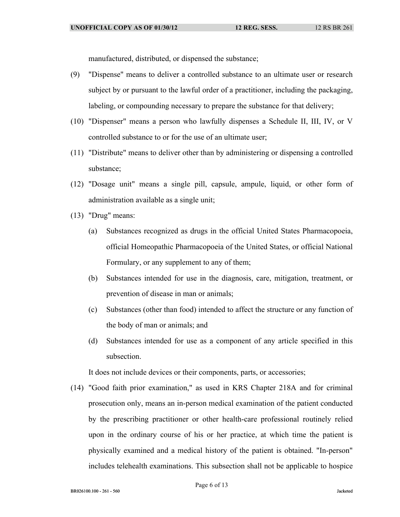manufactured, distributed, or dispensed the substance;

- (9) "Dispense" means to deliver a controlled substance to an ultimate user or research subject by or pursuant to the lawful order of a practitioner, including the packaging, labeling, or compounding necessary to prepare the substance for that delivery;
- (10) "Dispenser" means a person who lawfully dispenses a Schedule II, III, IV, or V controlled substance to or for the use of an ultimate user;
- (11) "Distribute" means to deliver other than by administering or dispensing a controlled substance;
- (12) "Dosage unit" means a single pill, capsule, ampule, liquid, or other form of administration available as a single unit;
- (13) "Drug" means:
	- (a) Substances recognized as drugs in the official United States Pharmacopoeia, official Homeopathic Pharmacopoeia of the United States, or official National Formulary, or any supplement to any of them;
	- (b) Substances intended for use in the diagnosis, care, mitigation, treatment, or prevention of disease in man or animals;
	- (c) Substances (other than food) intended to affect the structure or any function of the body of man or animals; and
	- (d) Substances intended for use as a component of any article specified in this subsection.

It does not include devices or their components, parts, or accessories;

(14) "Good faith prior examination," as used in KRS Chapter 218A and for criminal prosecution only, means an in-person medical examination of the patient conducted by the prescribing practitioner or other health-care professional routinely relied upon in the ordinary course of his or her practice, at which time the patient is physically examined and a medical history of the patient is obtained. "In-person" includes telehealth examinations. This subsection shall not be applicable to hospice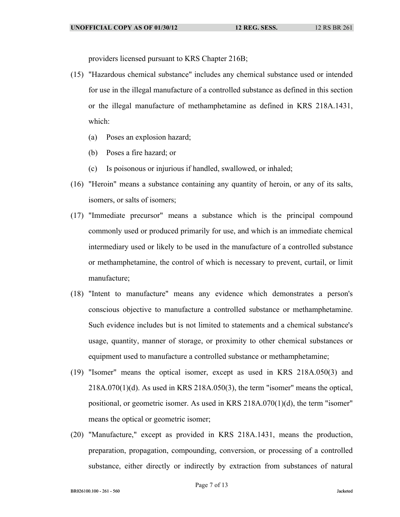providers licensed pursuant to KRS Chapter 216B;

- (15) "Hazardous chemical substance" includes any chemical substance used or intended for use in the illegal manufacture of a controlled substance as defined in this section or the illegal manufacture of methamphetamine as defined in KRS 218A.1431, which:
	- (a) Poses an explosion hazard;
	- (b) Poses a fire hazard; or
	- (c) Is poisonous or injurious if handled, swallowed, or inhaled;
- (16) "Heroin" means a substance containing any quantity of heroin, or any of its salts, isomers, or salts of isomers;
- (17) "Immediate precursor" means a substance which is the principal compound commonly used or produced primarily for use, and which is an immediate chemical intermediary used or likely to be used in the manufacture of a controlled substance or methamphetamine, the control of which is necessary to prevent, curtail, or limit manufacture;
- (18) "Intent to manufacture" means any evidence which demonstrates a person's conscious objective to manufacture a controlled substance or methamphetamine. Such evidence includes but is not limited to statements and a chemical substance's usage, quantity, manner of storage, or proximity to other chemical substances or equipment used to manufacture a controlled substance or methamphetamine;
- (19) "Isomer" means the optical isomer, except as used in KRS 218A.050(3) and  $218A.070(1)(d)$ . As used in KRS  $218A.050(3)$ , the term "isomer" means the optical, positional, or geometric isomer. As used in KRS 218A.070(1)(d), the term "isomer" means the optical or geometric isomer;
- (20) "Manufacture," except as provided in KRS 218A.1431, means the production, preparation, propagation, compounding, conversion, or processing of a controlled substance, either directly or indirectly by extraction from substances of natural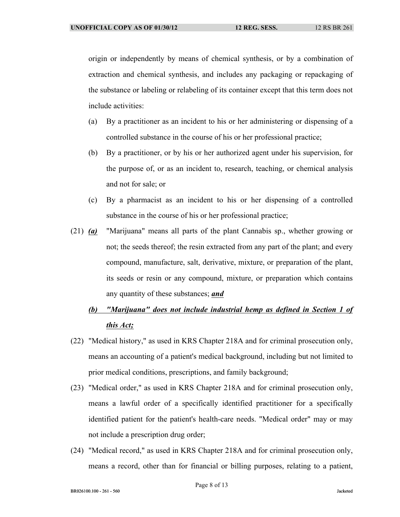origin or independently by means of chemical synthesis, or by a combination of extraction and chemical synthesis, and includes any packaging or repackaging of the substance or labeling or relabeling of its container except that this term does not include activities:

- (a) By a practitioner as an incident to his or her administering or dispensing of a controlled substance in the course of his or her professional practice;
- (b) By a practitioner, or by his or her authorized agent under his supervision, for the purpose of, or as an incident to, research, teaching, or chemical analysis and not for sale; or
- (c) By a pharmacist as an incident to his or her dispensing of a controlled substance in the course of his or her professional practice;
- (21) *(a)* "Marijuana" means all parts of the plant Cannabis sp., whether growing or not; the seeds thereof; the resin extracted from any part of the plant; and every compound, manufacture, salt, derivative, mixture, or preparation of the plant, its seeds or resin or any compound, mixture, or preparation which contains any quantity of these substances; *and*
	- *(b) "Marijuana" does not include industrial hemp as defined in Section 1 of this Act;*
- (22) "Medical history," as used in KRS Chapter 218A and for criminal prosecution only, means an accounting of a patient's medical background, including but not limited to prior medical conditions, prescriptions, and family background;
- (23) "Medical order," as used in KRS Chapter 218A and for criminal prosecution only, means a lawful order of a specifically identified practitioner for a specifically identified patient for the patient's health-care needs. "Medical order" may or may not include a prescription drug order;
- (24) "Medical record," as used in KRS Chapter 218A and for criminal prosecution only, means a record, other than for financial or billing purposes, relating to a patient,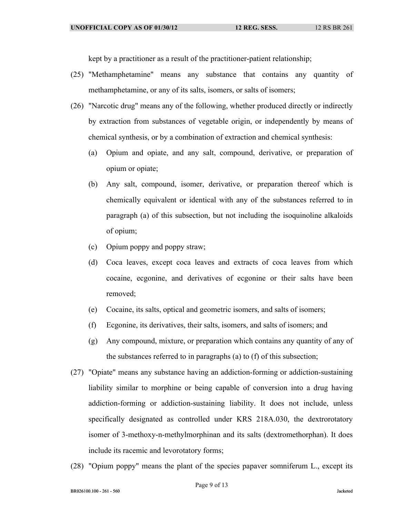kept by a practitioner as a result of the practitioner-patient relationship;

- (25) "Methamphetamine" means any substance that contains any quantity of methamphetamine, or any of its salts, isomers, or salts of isomers;
- (26) "Narcotic drug" means any of the following, whether produced directly or indirectly by extraction from substances of vegetable origin, or independently by means of chemical synthesis, or by a combination of extraction and chemical synthesis:
	- (a) Opium and opiate, and any salt, compound, derivative, or preparation of opium or opiate;
	- (b) Any salt, compound, isomer, derivative, or preparation thereof which is chemically equivalent or identical with any of the substances referred to in paragraph (a) of this subsection, but not including the isoquinoline alkaloids of opium;
	- (c) Opium poppy and poppy straw;
	- (d) Coca leaves, except coca leaves and extracts of coca leaves from which cocaine, ecgonine, and derivatives of ecgonine or their salts have been removed;
	- (e) Cocaine, its salts, optical and geometric isomers, and salts of isomers;
	- (f) Ecgonine, its derivatives, their salts, isomers, and salts of isomers; and
	- (g) Any compound, mixture, or preparation which contains any quantity of any of the substances referred to in paragraphs (a) to (f) of this subsection;
- (27) "Opiate" means any substance having an addiction-forming or addiction-sustaining liability similar to morphine or being capable of conversion into a drug having addiction-forming or addiction-sustaining liability. It does not include, unless specifically designated as controlled under KRS 218A.030, the dextrorotatory isomer of 3-methoxy-n-methylmorphinan and its salts (dextromethorphan). It does include its racemic and levorotatory forms;
- (28) "Opium poppy" means the plant of the species papaver somniferum L., except its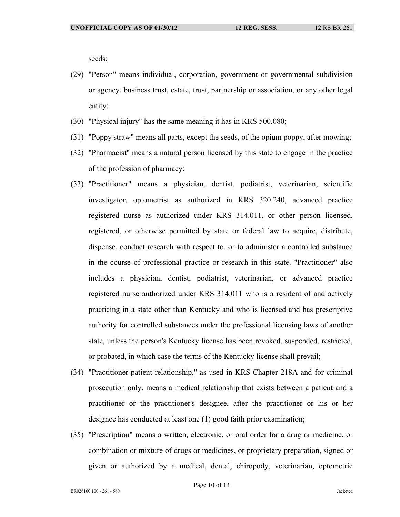seeds;

- (29) "Person" means individual, corporation, government or governmental subdivision or agency, business trust, estate, trust, partnership or association, or any other legal entity;
- (30) "Physical injury" has the same meaning it has in KRS 500.080;
- (31) "Poppy straw" means all parts, except the seeds, of the opium poppy, after mowing;
- (32) "Pharmacist" means a natural person licensed by this state to engage in the practice of the profession of pharmacy;
- (33) "Practitioner" means a physician, dentist, podiatrist, veterinarian, scientific investigator, optometrist as authorized in KRS 320.240, advanced practice registered nurse as authorized under KRS 314.011, or other person licensed, registered, or otherwise permitted by state or federal law to acquire, distribute, dispense, conduct research with respect to, or to administer a controlled substance in the course of professional practice or research in this state. "Practitioner" also includes a physician, dentist, podiatrist, veterinarian, or advanced practice registered nurse authorized under KRS 314.011 who is a resident of and actively practicing in a state other than Kentucky and who is licensed and has prescriptive authority for controlled substances under the professional licensing laws of another state, unless the person's Kentucky license has been revoked, suspended, restricted, or probated, in which case the terms of the Kentucky license shall prevail;
- (34) "Practitioner-patient relationship," as used in KRS Chapter 218A and for criminal prosecution only, means a medical relationship that exists between a patient and a practitioner or the practitioner's designee, after the practitioner or his or her designee has conducted at least one (1) good faith prior examination;
- (35) "Prescription" means a written, electronic, or oral order for a drug or medicine, or combination or mixture of drugs or medicines, or proprietary preparation, signed or given or authorized by a medical, dental, chiropody, veterinarian, optometric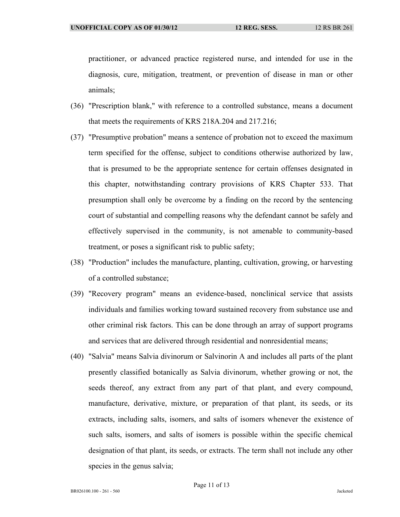practitioner, or advanced practice registered nurse, and intended for use in the diagnosis, cure, mitigation, treatment, or prevention of disease in man or other animals;

- (36) "Prescription blank," with reference to a controlled substance, means a document that meets the requirements of KRS 218A.204 and 217.216;
- (37) "Presumptive probation" means a sentence of probation not to exceed the maximum term specified for the offense, subject to conditions otherwise authorized by law, that is presumed to be the appropriate sentence for certain offenses designated in this chapter, notwithstanding contrary provisions of KRS Chapter 533. That presumption shall only be overcome by a finding on the record by the sentencing court of substantial and compelling reasons why the defendant cannot be safely and effectively supervised in the community, is not amenable to community-based treatment, or poses a significant risk to public safety;
- (38) "Production" includes the manufacture, planting, cultivation, growing, or harvesting of a controlled substance;
- (39) "Recovery program" means an evidence-based, nonclinical service that assists individuals and families working toward sustained recovery from substance use and other criminal risk factors. This can be done through an array of support programs and services that are delivered through residential and nonresidential means;
- (40) "Salvia" means Salvia divinorum or Salvinorin A and includes all parts of the plant presently classified botanically as Salvia divinorum, whether growing or not, the seeds thereof, any extract from any part of that plant, and every compound, manufacture, derivative, mixture, or preparation of that plant, its seeds, or its extracts, including salts, isomers, and salts of isomers whenever the existence of such salts, isomers, and salts of isomers is possible within the specific chemical designation of that plant, its seeds, or extracts. The term shall not include any other species in the genus salvia;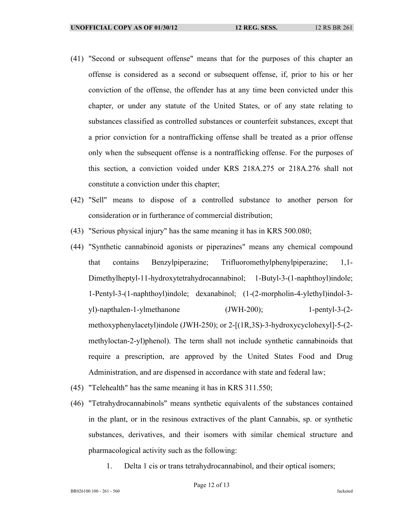- (41) "Second or subsequent offense" means that for the purposes of this chapter an offense is considered as a second or subsequent offense, if, prior to his or her conviction of the offense, the offender has at any time been convicted under this chapter, or under any statute of the United States, or of any state relating to substances classified as controlled substances or counterfeit substances, except that a prior conviction for a nontrafficking offense shall be treated as a prior offense only when the subsequent offense is a nontrafficking offense. For the purposes of this section, a conviction voided under KRS 218A.275 or 218A.276 shall not constitute a conviction under this chapter;
- (42) "Sell" means to dispose of a controlled substance to another person for consideration or in furtherance of commercial distribution;
- (43) "Serious physical injury" has the same meaning it has in KRS 500.080;
- (44) "Synthetic cannabinoid agonists or piperazines" means any chemical compound that contains Benzylpiperazine; Trifluoromethylphenylpiperazine; 1,1- Dimethylheptyl-11-hydroxytetrahydrocannabinol; 1-Butyl-3-(1-naphthoyl)indole; 1-Pentyl-3-(1-naphthoyl)indole; dexanabinol; (1-(2-morpholin-4-ylethyl)indol-3 yl)-napthalen-1-ylmethanone (JWH-200); 1-pentyl-3-(2 methoxyphenylacetyl)indole (JWH-250); or 2-[(1R,3S)-3-hydroxycyclohexyl]-5-(2 methyloctan-2-yl)phenol). The term shall not include synthetic cannabinoids that require a prescription, are approved by the United States Food and Drug Administration, and are dispensed in accordance with state and federal law;
- (45) "Telehealth" has the same meaning it has in KRS 311.550;
- (46) "Tetrahydrocannabinols" means synthetic equivalents of the substances contained in the plant, or in the resinous extractives of the plant Cannabis, sp. or synthetic substances, derivatives, and their isomers with similar chemical structure and pharmacological activity such as the following:
	- 1. Delta 1 cis or trans tetrahydrocannabinol, and their optical isomers;